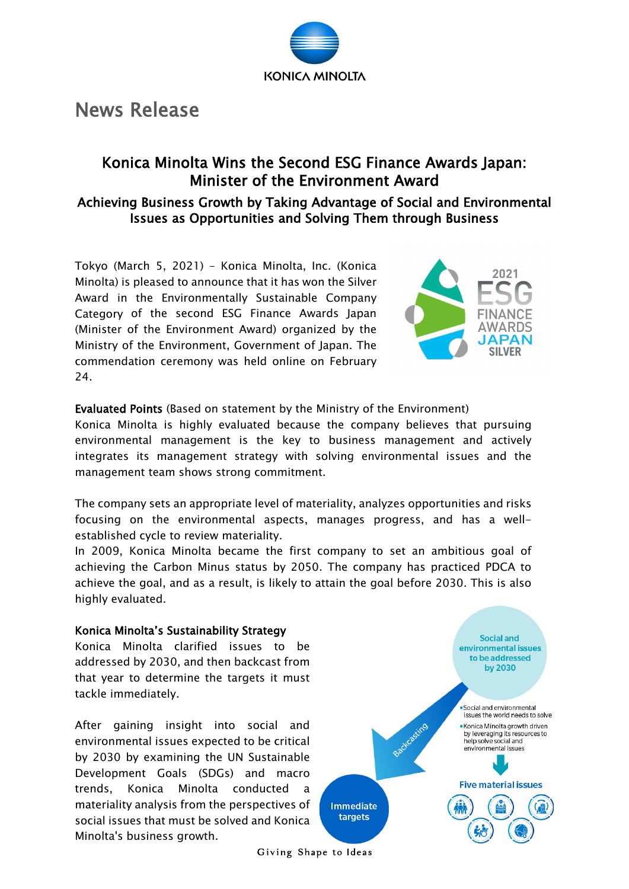

## News Release

## Konica Minolta Wins the Second ESG Finance Awards Japan: Minister of the Environment Award

Achieving Business Growth by Taking Advantage of Social and Environmental Issues as Opportunities and Solving Them through Business

Tokyo (March 5, 2021) – Konica Minolta, Inc. (Konica Minolta) is pleased to announce that it has won the Silver Award in the Environmentally Sustainable Company Category of the second ESG Finance Awards Japan (Minister of the Environment Award) organized by the Ministry of the Environment, Government of Japan. The commendation ceremony was held online on February 24.



Evaluated Points (Based on statement by the Ministry of the Environment)

Konica Minolta is highly evaluated because the company believes that pursuing environmental management is the key to business management and actively integrates its management strategy with solving environmental issues and the management team shows strong commitment.

The company sets an appropriate level of materiality, analyzes opportunities and risks focusing on the environmental aspects, manages progress, and has a wellestablished cycle to review materiality.

In 2009, Konica Minolta became the first company to set an ambitious goal of achieving the Carbon Minus status by 2050. The company has practiced PDCA to achieve the goal, and as a result, is likely to attain the goal before 2030. This is also highly evaluated.

## Konica Minolta's Sustainability Strategy

Konica Minolta clarified issues to be addressed by 2030, and then backcast from that year to determine the targets it must tackle immediately.

After gaining insight into social and environmental issues expected to be critical by 2030 by examining the UN Sustainable Development Goals (SDGs) and macro trends, Konica Minolta conducted a materiality analysis from the perspectives of social issues that must be solved and Konica Minolta's business growth.